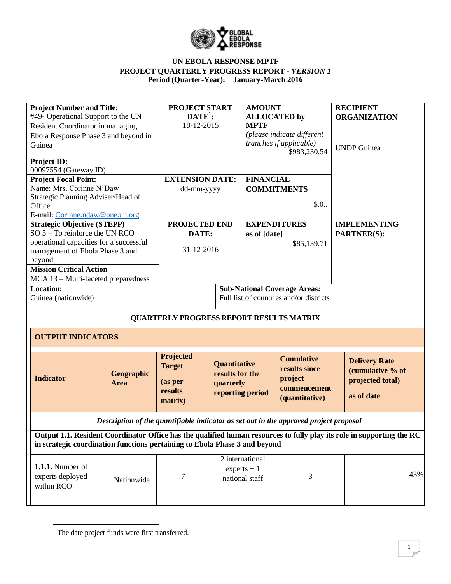

| <b>Project Number and Title:</b>                                                                                      |                           | <b>PROJECT START</b>                                        |                                                                         | <b>AMOUNT</b>                                      |                                                                                       | <b>RECIPIENT</b>                                                           |
|-----------------------------------------------------------------------------------------------------------------------|---------------------------|-------------------------------------------------------------|-------------------------------------------------------------------------|----------------------------------------------------|---------------------------------------------------------------------------------------|----------------------------------------------------------------------------|
| #49- Operational Support to the UN                                                                                    |                           | $\text{DATE}^1$ :                                           |                                                                         | <b>ALLOCATED by</b>                                |                                                                                       | <b>ORGANIZATION</b>                                                        |
| Resident Coordinator in managing                                                                                      |                           | 18-12-2015                                                  |                                                                         | <b>MPTF</b>                                        |                                                                                       |                                                                            |
| Ebola Response Phase 3 and beyond in                                                                                  |                           |                                                             |                                                                         |                                                    | (please indicate different                                                            |                                                                            |
| Guinea                                                                                                                |                           |                                                             |                                                                         |                                                    | <i>tranches if applicable</i> )                                                       | <b>UNDP</b> Guinea                                                         |
|                                                                                                                       |                           |                                                             |                                                                         |                                                    | \$983,230.54                                                                          |                                                                            |
| Project ID:<br>00097554 (Gateway ID)                                                                                  |                           |                                                             |                                                                         |                                                    |                                                                                       |                                                                            |
| <b>Project Focal Point:</b>                                                                                           |                           | <b>EXTENSION DATE:</b>                                      |                                                                         | <b>FINANCIAL</b>                                   |                                                                                       |                                                                            |
| Name: Mrs. Corinne N'Daw                                                                                              |                           | dd-mm-yyyy                                                  |                                                                         |                                                    | <b>COMMITMENTS</b>                                                                    |                                                                            |
| Strategic Planning Adviser/Head of                                                                                    |                           |                                                             |                                                                         |                                                    |                                                                                       |                                                                            |
| Office                                                                                                                |                           |                                                             |                                                                         |                                                    | \$.0.                                                                                 |                                                                            |
| E-mail: Corinne.ndaw@one.un.org                                                                                       |                           |                                                             |                                                                         |                                                    |                                                                                       |                                                                            |
| <b>Strategic Objective (STEPP)</b>                                                                                    |                           | PROJECTED END                                               |                                                                         |                                                    | <b>EXPENDITURES</b>                                                                   | <b>IMPLEMENTING</b>                                                        |
| SO $5 - To$ reinforce the UN RCO                                                                                      |                           | DATE:                                                       |                                                                         | as of [date]                                       |                                                                                       | PARTNER(S):                                                                |
| operational capacities for a successful                                                                               |                           |                                                             |                                                                         |                                                    | \$85,139.71                                                                           |                                                                            |
| management of Ebola Phase 3 and                                                                                       |                           | 31-12-2016                                                  |                                                                         |                                                    |                                                                                       |                                                                            |
| beyond                                                                                                                |                           |                                                             |                                                                         |                                                    |                                                                                       |                                                                            |
| <b>Mission Critical Action</b>                                                                                        |                           |                                                             |                                                                         |                                                    |                                                                                       |                                                                            |
| MCA 13 - Multi-faceted preparedness                                                                                   |                           |                                                             |                                                                         |                                                    |                                                                                       |                                                                            |
| <b>Location:</b>                                                                                                      |                           |                                                             |                                                                         |                                                    | <b>Sub-National Coverage Areas:</b>                                                   |                                                                            |
| Guinea (nationwide)                                                                                                   |                           |                                                             |                                                                         |                                                    | Full list of countries and/or districts                                               |                                                                            |
| <b>OUTPUT INDICATORS</b>                                                                                              |                           | <b>QUARTERLY PROGRESS REPORT RESULTS MATRIX</b>             |                                                                         |                                                    |                                                                                       |                                                                            |
|                                                                                                                       |                           |                                                             |                                                                         |                                                    |                                                                                       |                                                                            |
| <b>Indicator</b>                                                                                                      | Geographic<br><b>Area</b> | Projected<br><b>Target</b><br>(as per<br>results<br>matrix) | <b>Quantitative</b><br>results for the<br>quarterly<br>reporting period |                                                    | <b>Cumulative</b><br>results since<br>project<br>commencement<br>(quantitative)       | <b>Delivery Rate</b><br>(cumulative % of<br>projected total)<br>as of date |
|                                                                                                                       |                           |                                                             |                                                                         |                                                    | Description of the quantifiable indicator as set out in the approved project proposal |                                                                            |
| Output 1.1. Resident Coordinator Office has the qualified human resources to fully play its role in supporting the RC |                           |                                                             |                                                                         |                                                    |                                                                                       |                                                                            |
| in strategic coordination functions pertaining to Ebola Phase 3 and beyond                                            |                           |                                                             |                                                                         |                                                    |                                                                                       |                                                                            |
| <b>1.1.1.</b> Number of<br>experts deployed<br>within RCO                                                             | Nationwide                | $\tau$                                                      |                                                                         | 2 international<br>$experts + 1$<br>national staff | 3                                                                                     | 43%                                                                        |
|                                                                                                                       |                           |                                                             |                                                                         |                                                    |                                                                                       |                                                                            |

 $\overline{\phantom{a}}$ <sup>1</sup> The date project funds were first transferred.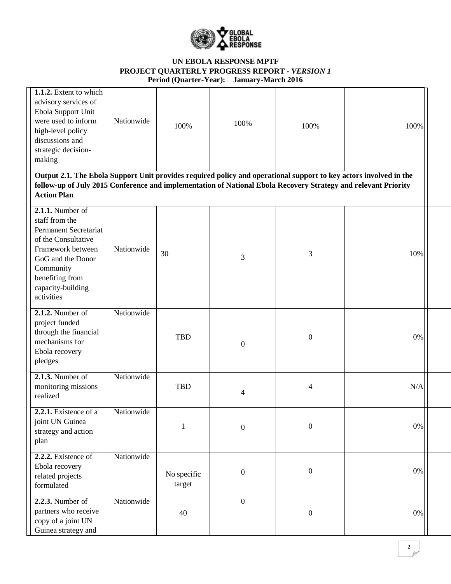

| 1.1.2. Extent to which<br>advisory services of<br>Ebola Support Unit<br>were used to inform<br>high-level policy<br>discussions and<br>strategic decision-<br>making<br>Output 2.1. The Ebola Support Unit provides required policy and operational support to key actors involved in the | Nationwide | 100%                  | 100%             | 100%             | 100% |  |
|-------------------------------------------------------------------------------------------------------------------------------------------------------------------------------------------------------------------------------------------------------------------------------------------|------------|-----------------------|------------------|------------------|------|--|
| follow-up of July 2015 Conference and implementation of National Ebola Recovery Strategy and relevant Priority<br><b>Action Plan</b>                                                                                                                                                      |            |                       |                  |                  |      |  |
| 2.1.1. Number of<br>staff from the<br><b>Permanent Secretariat</b><br>of the Consultative<br>Framework between<br>GoG and the Donor<br>Community<br>benefiting from<br>capacity-building<br>activities                                                                                    | Nationwide | 30                    | 3                | 3                | 10%  |  |
| $2.1.2$ . Number of<br>project funded<br>through the financial<br>mechanisms for<br>Ebola recovery<br>pledges                                                                                                                                                                             | Nationwide | <b>TBD</b>            | $\boldsymbol{0}$ | $\boldsymbol{0}$ | 0%   |  |
| 2.1.3. Number of<br>monitoring missions<br>realized                                                                                                                                                                                                                                       | Nationwide | <b>TBD</b>            | 4                | $\overline{4}$   | N/A  |  |
| 2.2.1. Existence of a<br>joint UN Guinea<br>strategy and action<br>plan                                                                                                                                                                                                                   | Nationwide | 1                     | $\boldsymbol{0}$ | $\boldsymbol{0}$ | 0%   |  |
| 2.2.2. Existence of<br>Ebola recovery<br>related projects<br>formulated                                                                                                                                                                                                                   | Nationwide | No specific<br>target | $\boldsymbol{0}$ | $\boldsymbol{0}$ | 0%   |  |
| $2.2.3.$ Number of<br>partners who receive<br>copy of a joint UN<br>Guinea strategy and                                                                                                                                                                                                   | Nationwide | 40                    | $\boldsymbol{0}$ | $\boldsymbol{0}$ | 0%   |  |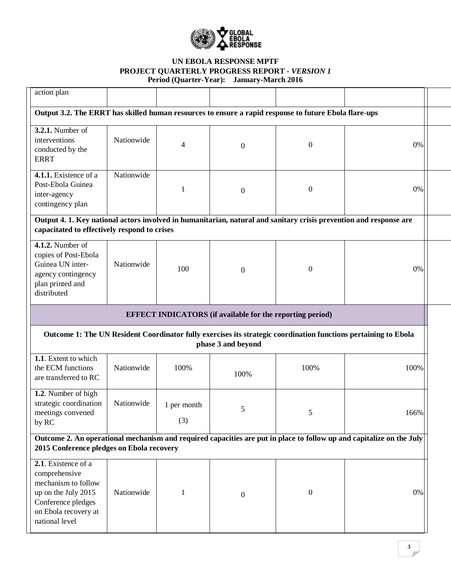

| action plan                                                                                                                                                        |            |                    |                                                                  |                  |                                                                                                                      |  |
|--------------------------------------------------------------------------------------------------------------------------------------------------------------------|------------|--------------------|------------------------------------------------------------------|------------------|----------------------------------------------------------------------------------------------------------------------|--|
| Output 3.2. The ERRT has skilled human resources to ensure a rapid response to future Ebola flare-ups                                                              |            |                    |                                                                  |                  |                                                                                                                      |  |
| 3.2.1. Number of<br>interventions<br>conducted by the<br><b>ERRT</b>                                                                                               | Nationwide | 4                  | $\boldsymbol{0}$                                                 | $\boldsymbol{0}$ | 0%                                                                                                                   |  |
| 4.1.1. Existence of a<br>Post-Ebola Guinea<br>inter-agency<br>contingency plan                                                                                     | Nationwide | 1                  | $\boldsymbol{0}$                                                 | $\boldsymbol{0}$ | 0%                                                                                                                   |  |
| Output 4. 1. Key national actors involved in humanitarian, natural and sanitary crisis prevention and response are<br>capacitated to effectively respond to crises |            |                    |                                                                  |                  |                                                                                                                      |  |
| $4.1.2.$ Number of<br>copies of Post-Ebola<br>Guinea UN inter-<br>agency contingency<br>plan printed and<br>distributed                                            | Nationwide | 100                | $\boldsymbol{0}$                                                 | $\overline{0}$   | 0%                                                                                                                   |  |
|                                                                                                                                                                    |            |                    | <b>EFFECT INDICATORS</b> (if available for the reporting period) |                  |                                                                                                                      |  |
|                                                                                                                                                                    |            |                    | phase 3 and beyond                                               |                  | Outcome 1: The UN Resident Coordinator fully exercises its strategic coordination functions pertaining to Ebola      |  |
| 1.1. Extent to which<br>the ECM functions<br>are transferred to RC                                                                                                 | Nationwide | 100%               | 100%                                                             | 100%             | 100%                                                                                                                 |  |
| 1.2. Number of high<br>strategic coordination<br>meetings convened<br>by RC                                                                                        | Nationwide | 1 per month<br>(3) | 5                                                                | 5                | 166%                                                                                                                 |  |
| 2015 Conference pledges on Ebola recovery                                                                                                                          |            |                    |                                                                  |                  | Outcome 2. An operational mechanism and required capacities are put in place to follow up and capitalize on the July |  |
| 2.1. Existence of a<br>comprehensive<br>mechanism to follow<br>up on the July 2015<br>Conference pledges<br>on Ebola recovery at<br>national level                 | Nationwide | 1                  | $\boldsymbol{0}$                                                 | $\boldsymbol{0}$ | 0%                                                                                                                   |  |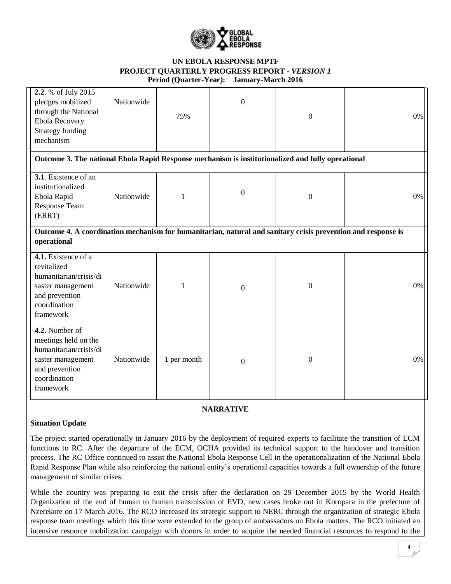

| 2.2. % of July 2015<br>pledges mobilized<br>through the National<br>Ebola Recovery<br><b>Strategy funding</b><br>mechanism           | Nationwide | 75%         | $\boldsymbol{0}$ | $\overline{0}$   | 0%    |
|--------------------------------------------------------------------------------------------------------------------------------------|------------|-------------|------------------|------------------|-------|
| Outcome 3. The national Ebola Rapid Response mechanism is institutionalized and fully operational                                    |            |             |                  |                  |       |
| 3.1. Existence of an<br>institutionalized<br>Ebola Rapid<br><b>Response Team</b><br>(ERRT)                                           | Nationwide | 1           | $\boldsymbol{0}$ | $\boldsymbol{0}$ | 0%    |
| Outcome 4. A coordination mechanism for humanitarian, natural and sanitary crisis prevention and response is<br>operational          |            |             |                  |                  |       |
| 4.1. Existence of a<br>revitalized<br>humanitarian/crisis/di<br>saster management<br>and prevention<br>coordination<br>framework     | Nationwide | 1           | $\boldsymbol{0}$ | $\theta$         | $0\%$ |
| 4.2. Number of<br>meetings held on the<br>humanitarian/crisis/di<br>saster management<br>and prevention<br>coordination<br>framework | Nationwide | 1 per month | $\boldsymbol{0}$ | $\theta$         | 0%    |

### **NARRATIVE**

#### **Situation Update**

The project started operationally in January 2016 by the deployment of required experts to facilitate the transition of ECM functions to RC. After the departure of the ECM, OCHA provided its technical support to the handover and transition process. The RC Office continued to assist the National Ebola Response Cell in the operationalization of the National Ebola Rapid Response Plan while also reinforcing the national entity's operational capacities towards a full ownership of the future management of similar crises.

While the country was preparing to exit the crisis after the declaration on 29 December 2015 by the World Health Organization of the end of human to human transmission of EVD, new cases broke out in Koropara in the prefecture of Nzerekore on 17 March 2016. The RCO increased its strategic support to NERC through the organization of strategic Ebola response team meetings which this time were extended to the group of ambassadors on Ebola matters. The RCO initiated an intensive resource mobilization campaign with donors in order to acquire the needed financial resources to respond to the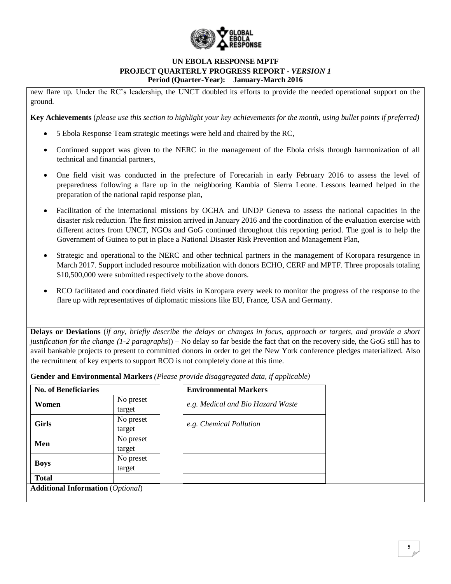

new flare up. Under the RC's leadership, the UNCT doubled its efforts to provide the needed operational support on the ground.

**Key Achievements** (*please use this section to highlight your key achievements for the month, using bullet points if preferred)*

- 5 Ebola Response Team strategic meetings were held and chaired by the RC,
- Continued support was given to the NERC in the management of the Ebola crisis through harmonization of all technical and financial partners,
- One field visit was conducted in the prefecture of Forecariah in early February 2016 to assess the level of preparedness following a flare up in the neighboring Kambia of Sierra Leone. Lessons learned helped in the preparation of the national rapid response plan,
- Facilitation of the international missions by OCHA and UNDP Geneva to assess the national capacities in the disaster risk reduction. The first mission arrived in January 2016 and the coordination of the evaluation exercise with different actors from UNCT, NGOs and GoG continued throughout this reporting period. The goal is to help the Government of Guinea to put in place a National Disaster Risk Prevention and Management Plan,
- Strategic and operational to the NERC and other technical partners in the management of Koropara resurgence in March 2017. Support included resource mobilization with donors ECHO, CERF and MPTF. Three proposals totaling \$10,500,000 were submitted respectively to the above donors.
- RCO facilitated and coordinated field visits in Koropara every week to monitor the progress of the response to the flare up with representatives of diplomatic missions like EU, France, USA and Germany.

**Delays or Deviations** (*if any, briefly describe the delays or changes in focus, approach or targets, and provide a short justification for the change (1-2 paragraphs*)) – No delay so far beside the fact that on the recovery side, the GoG still has to avail bankable projects to present to committed donors in order to get the New York conference pledges materialized. Also the recruitment of key experts to support RCO is not completely done at this time.

**Gender and Environmental Markers** *(Please provide disaggregated data, if applicable)*

| <b>No. of Beneficiaries</b> |                     | <b>Environmental Markers</b>      |
|-----------------------------|---------------------|-----------------------------------|
| Women                       | No preset<br>target | e.g. Medical and Bio Hazard Waste |
| <b>Girls</b>                | No preset<br>target | e.g. Chemical Pollution           |
| Men                         | No preset<br>target |                                   |
| <b>Boys</b>                 | No preset<br>target |                                   |
| <b>Total</b>                |                     |                                   |